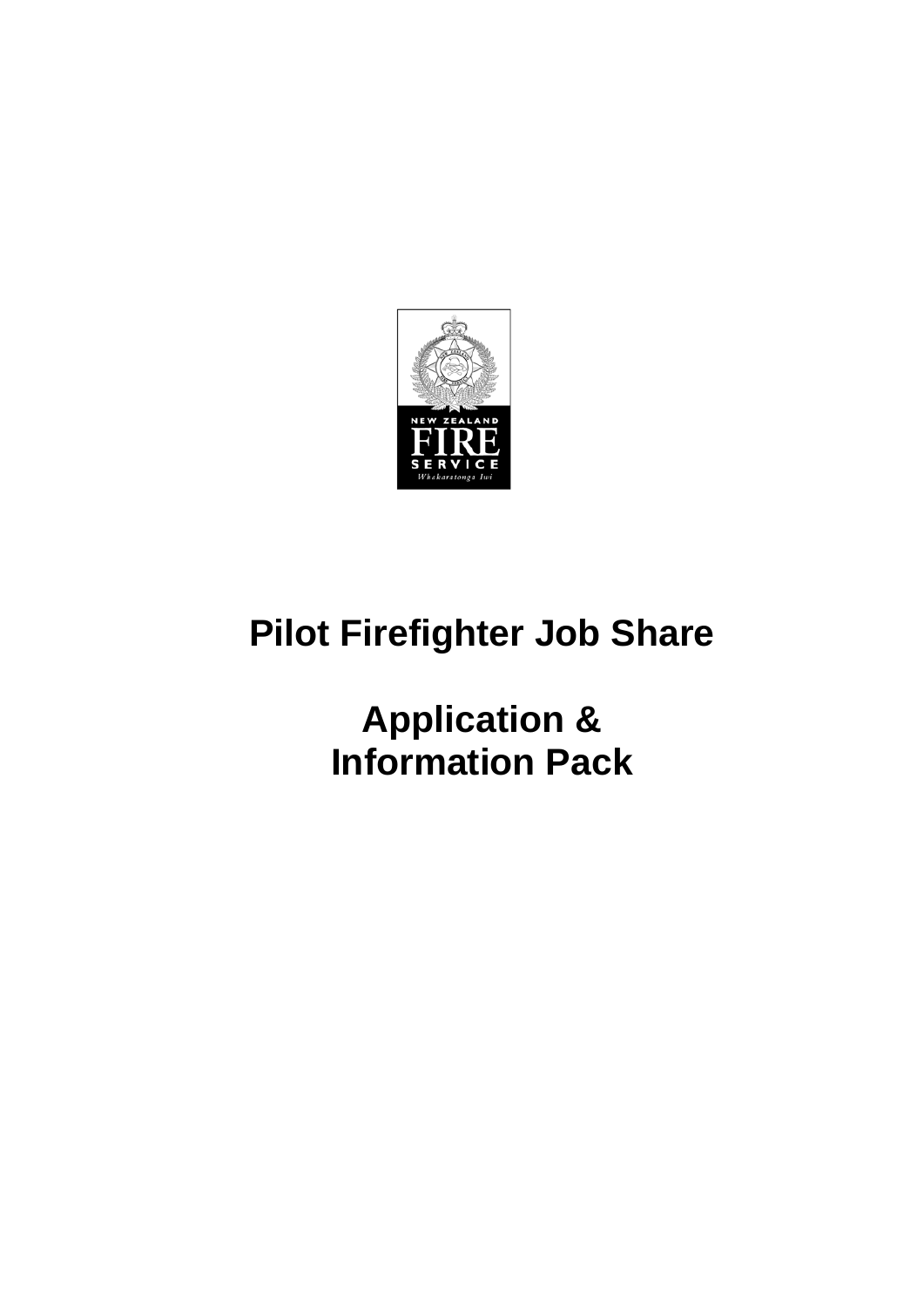

# **Pilot Firefighter Job Share**

**Application & Information Pack**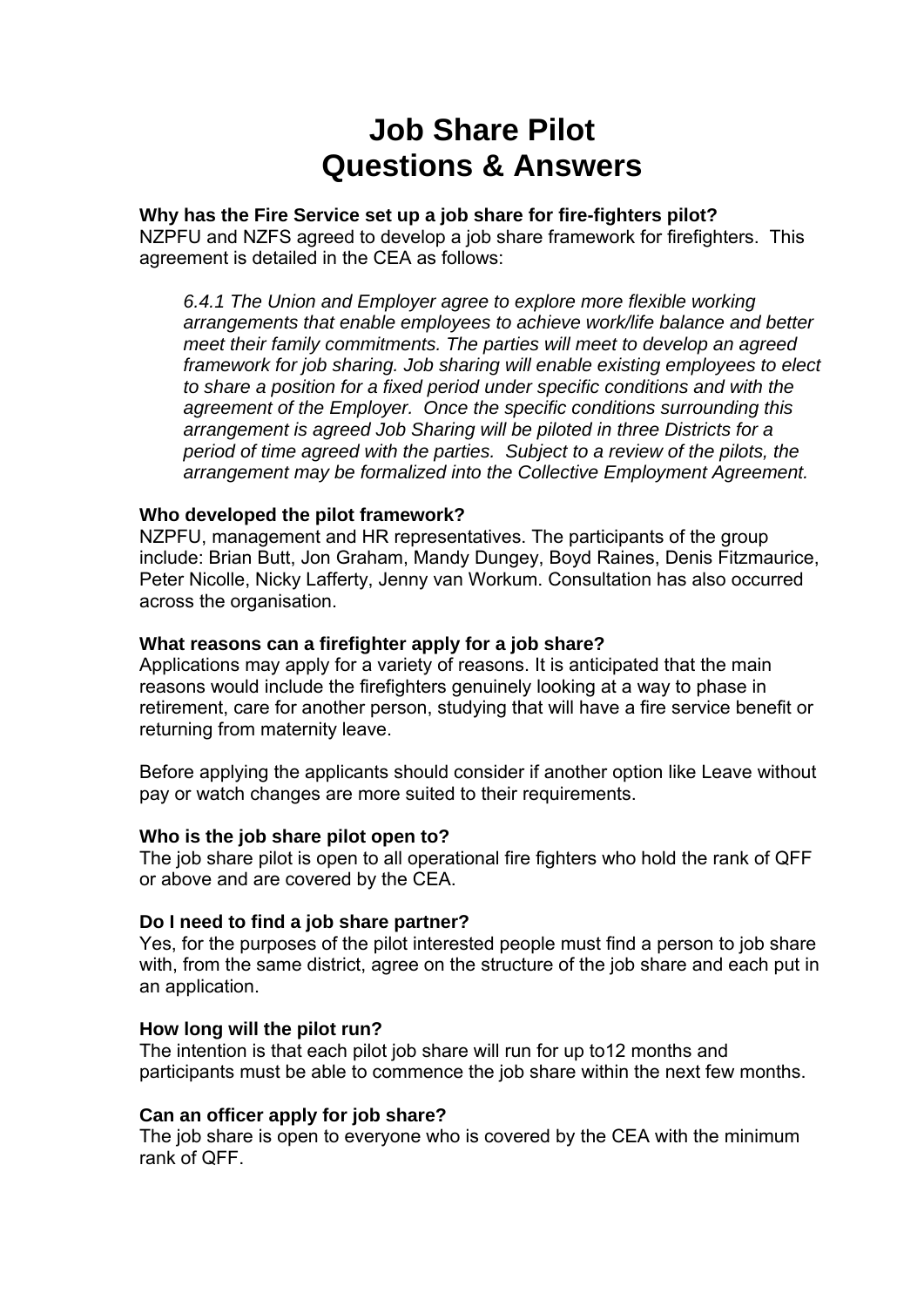# **Job Share Pilot Questions & Answers**

# **Why has the Fire Service set up a job share for fire-fighters pilot?**

NZPFU and NZFS agreed to develop a job share framework for firefighters. This agreement is detailed in the CEA as follows:

*6.4.1 The Union and Employer agree to explore more flexible working arrangements that enable employees to achieve work/life balance and better meet their family commitments. The parties will meet to develop an agreed framework for job sharing. Job sharing will enable existing employees to elect to share a position for a fixed period under specific conditions and with the agreement of the Employer. Once the specific conditions surrounding this arrangement is agreed Job Sharing will be piloted in three Districts for a period of time agreed with the parties. Subject to a review of the pilots, the arrangement may be formalized into the Collective Employment Agreement.* 

### **Who developed the pilot framework?**

NZPFU, management and HR representatives. The participants of the group include: Brian Butt, Jon Graham, Mandy Dungey, Boyd Raines, Denis Fitzmaurice, Peter Nicolle, Nicky Lafferty, Jenny van Workum. Consultation has also occurred across the organisation.

### **What reasons can a firefighter apply for a job share?**

Applications may apply for a variety of reasons. It is anticipated that the main reasons would include the firefighters genuinely looking at a way to phase in retirement, care for another person, studying that will have a fire service benefit or returning from maternity leave.

Before applying the applicants should consider if another option like Leave without pay or watch changes are more suited to their requirements.

#### **Who is the job share pilot open to?**

The job share pilot is open to all operational fire fighters who hold the rank of QFF or above and are covered by the CEA.

#### **Do I need to find a job share partner?**

Yes, for the purposes of the pilot interested people must find a person to job share with, from the same district, agree on the structure of the job share and each put in an application.

#### **How long will the pilot run?**

The intention is that each pilot job share will run for up to12 months and participants must be able to commence the job share within the next few months.

#### **Can an officer apply for job share?**

The job share is open to everyone who is covered by the CEA with the minimum rank of QFF.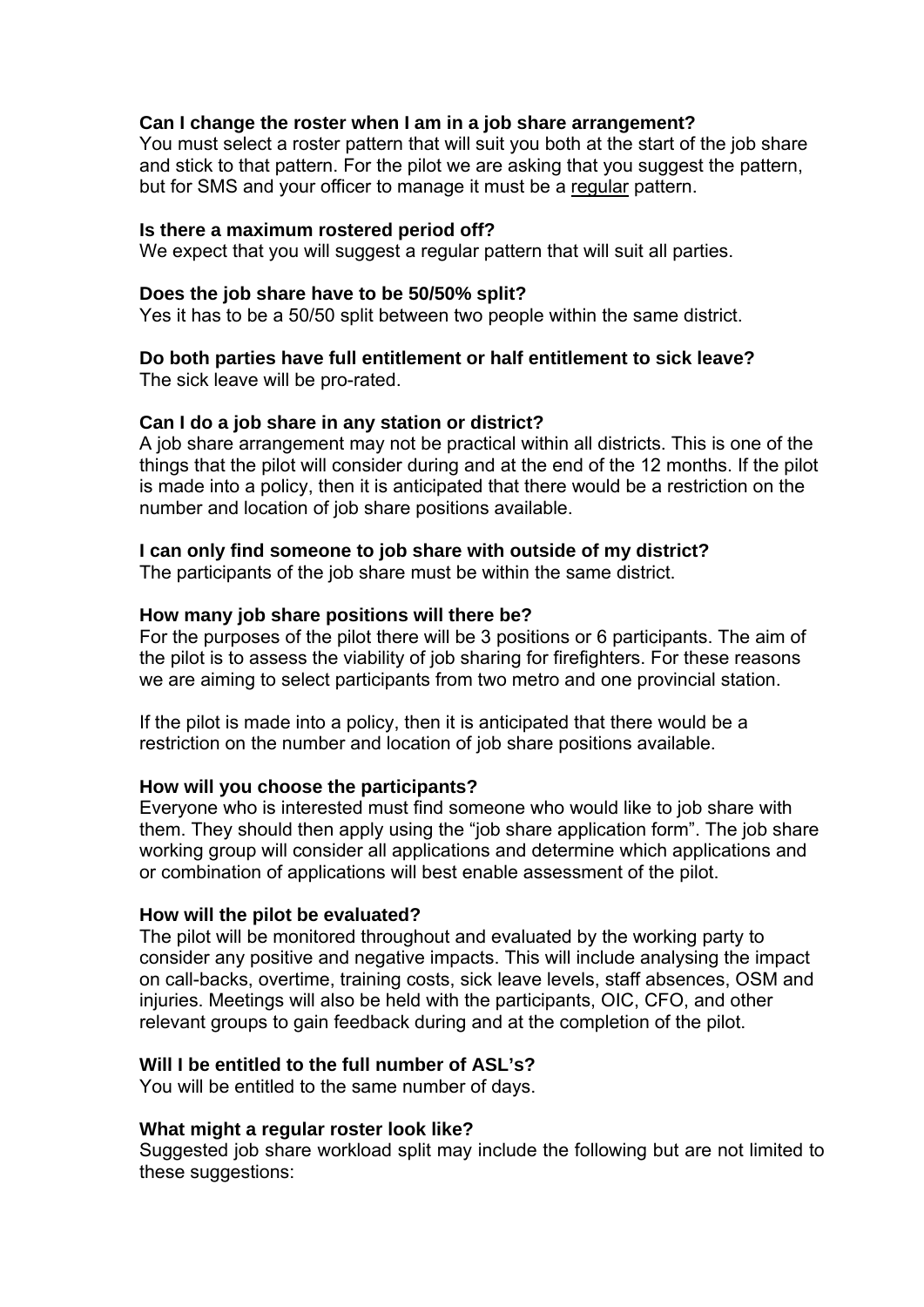### **Can I change the roster when I am in a job share arrangement?**

You must select a roster pattern that will suit you both at the start of the job share and stick to that pattern. For the pilot we are asking that you suggest the pattern, but for SMS and your officer to manage it must be a regular pattern.

#### **Is there a maximum rostered period off?**

We expect that you will suggest a regular pattern that will suit all parties.

### **Does the job share have to be 50/50% split?**

Yes it has to be a 50/50 split between two people within the same district.

# **Do both parties have full entitlement or half entitlement to sick leave?**

The sick leave will be pro-rated.

# **Can I do a job share in any station or district?**

A job share arrangement may not be practical within all districts. This is one of the things that the pilot will consider during and at the end of the 12 months. If the pilot is made into a policy, then it is anticipated that there would be a restriction on the number and location of job share positions available.

# **I can only find someone to job share with outside of my district?**

The participants of the job share must be within the same district.

### **How many job share positions will there be?**

For the purposes of the pilot there will be 3 positions or 6 participants. The aim of the pilot is to assess the viability of job sharing for firefighters. For these reasons we are aiming to select participants from two metro and one provincial station.

If the pilot is made into a policy, then it is anticipated that there would be a restriction on the number and location of job share positions available.

# **How will you choose the participants?**

Everyone who is interested must find someone who would like to job share with them. They should then apply using the "job share application form". The job share working group will consider all applications and determine which applications and or combination of applications will best enable assessment of the pilot.

#### **How will the pilot be evaluated?**

The pilot will be monitored throughout and evaluated by the working party to consider any positive and negative impacts. This will include analysing the impact on call-backs, overtime, training costs, sick leave levels, staff absences, OSM and injuries. Meetings will also be held with the participants, OIC, CFO, and other relevant groups to gain feedback during and at the completion of the pilot.

# **Will I be entitled to the full number of ASL's?**

You will be entitled to the same number of days.

#### **What might a regular roster look like?**

Suggested job share workload split may include the following but are not limited to these suggestions: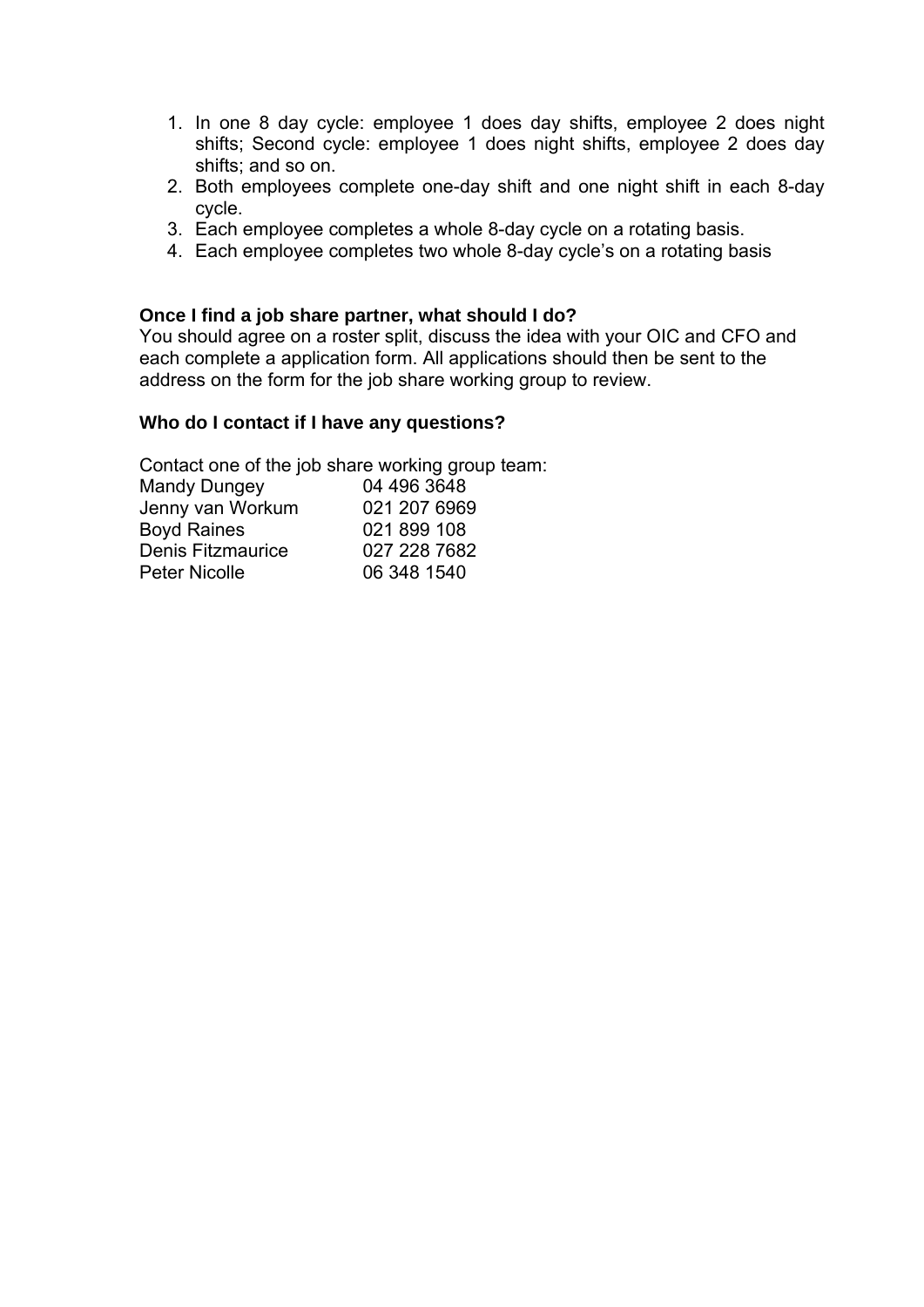- 1. In one 8 day cycle: employee 1 does day shifts, employee 2 does night shifts; Second cycle: employee 1 does night shifts, employee 2 does day shifts; and so on.
- 2. Both employees complete one-day shift and one night shift in each 8-day cycle.
- 3. Each employee completes a whole 8-day cycle on a rotating basis.
- 4. Each employee completes two whole 8-day cycle's on a rotating basis

# **Once I find a job share partner, what should I do?**

You should agree on a roster split, discuss the idea with your OIC and CFO and each complete a application form. All applications should then be sent to the address on the form for the job share working group to review.

### **Who do I contact if I have any questions?**

Contact one of the job share working group team:

| <b>Mandy Dungey</b>  | 04 496 3648  |
|----------------------|--------------|
| Jenny van Workum     | 021 207 6969 |
| <b>Boyd Raines</b>   | 021 899 108  |
| Denis Fitzmaurice    | 027 228 7682 |
| <b>Peter Nicolle</b> | 06 348 1540  |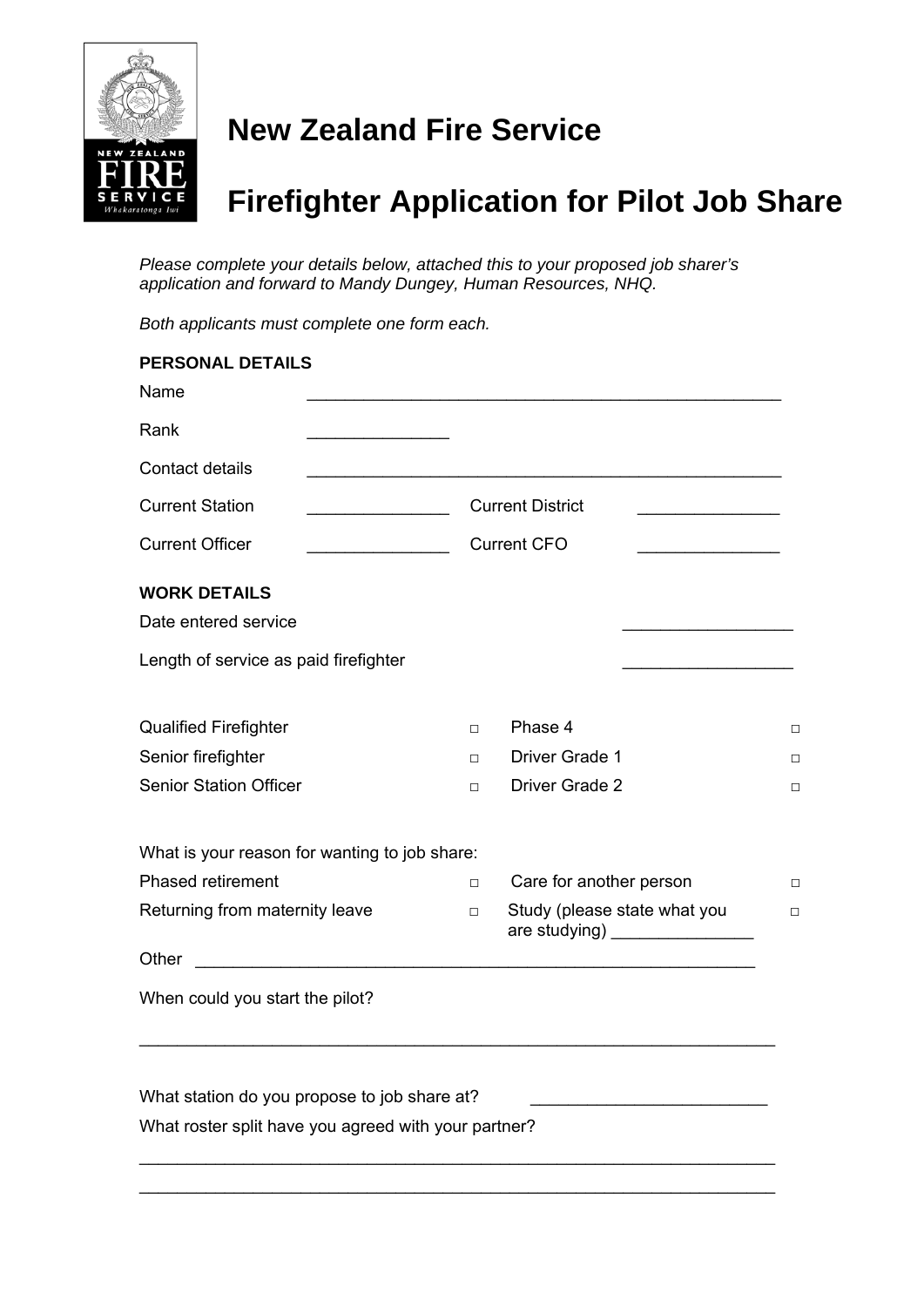

# **New Zealand Fire Service**

# **Firefighter Application for Pilot Job Share**

*Please complete your details below, attached this to your proposed job sharer's application and forward to Mandy Dungey, Human Resources, NHQ.* 

*Both applicants must complete one form each.* 

| <b>PERSONAL DETAILS</b>                                                                                                                                                                                                                                        |                                                                          |                                                                 |        |
|----------------------------------------------------------------------------------------------------------------------------------------------------------------------------------------------------------------------------------------------------------------|--------------------------------------------------------------------------|-----------------------------------------------------------------|--------|
| Name                                                                                                                                                                                                                                                           |                                                                          |                                                                 |        |
| Rank                                                                                                                                                                                                                                                           |                                                                          |                                                                 |        |
| Contact details                                                                                                                                                                                                                                                |                                                                          |                                                                 |        |
| <b>Current Station</b><br><u> The Communication of the Communication of the Communication of the Communication of the Communication of the Communication of the Communication of the Communication of the Communication of the Communication of the Commun</u> | <b>Current District</b><br><u> 1950 - Johann Barn, margaret amerikan</u> |                                                                 |        |
| <b>Current Officer</b><br><u> 1990 - Johann Barbara, martin a</u>                                                                                                                                                                                              | <b>Current CFO</b><br><u> 1990 - Johann Barbara, martin a</u>            |                                                                 |        |
| <b>WORK DETAILS</b>                                                                                                                                                                                                                                            |                                                                          |                                                                 |        |
| Date entered service                                                                                                                                                                                                                                           |                                                                          |                                                                 |        |
| Length of service as paid firefighter                                                                                                                                                                                                                          |                                                                          |                                                                 |        |
| <b>Qualified Firefighter</b>                                                                                                                                                                                                                                   | $\Box$                                                                   | Phase 4                                                         | □      |
| Senior firefighter                                                                                                                                                                                                                                             | $\Box$                                                                   | Driver Grade 1                                                  | □      |
| <b>Senior Station Officer</b>                                                                                                                                                                                                                                  | $\Box$                                                                   | Driver Grade 2                                                  | □      |
| What is your reason for wanting to job share:                                                                                                                                                                                                                  |                                                                          |                                                                 |        |
| <b>Phased retirement</b>                                                                                                                                                                                                                                       | $\Box$                                                                   | Care for another person                                         | $\Box$ |
| Returning from maternity leave                                                                                                                                                                                                                                 | $\Box$                                                                   | Study (please state what you<br>are studying) _________________ | $\Box$ |
| Other                                                                                                                                                                                                                                                          |                                                                          |                                                                 |        |
| When could you start the pilot?                                                                                                                                                                                                                                |                                                                          |                                                                 |        |
|                                                                                                                                                                                                                                                                |                                                                          |                                                                 |        |
| What station do you propose to job share at?                                                                                                                                                                                                                   |                                                                          |                                                                 |        |
| What roster split have you agreed with your partner?                                                                                                                                                                                                           |                                                                          |                                                                 |        |
|                                                                                                                                                                                                                                                                |                                                                          |                                                                 |        |

\_\_\_\_\_\_\_\_\_\_\_\_\_\_\_\_\_\_\_\_\_\_\_\_\_\_\_\_\_\_\_\_\_\_\_\_\_\_\_\_\_\_\_\_\_\_\_\_\_\_\_\_\_\_\_\_\_\_\_\_\_\_\_\_\_\_\_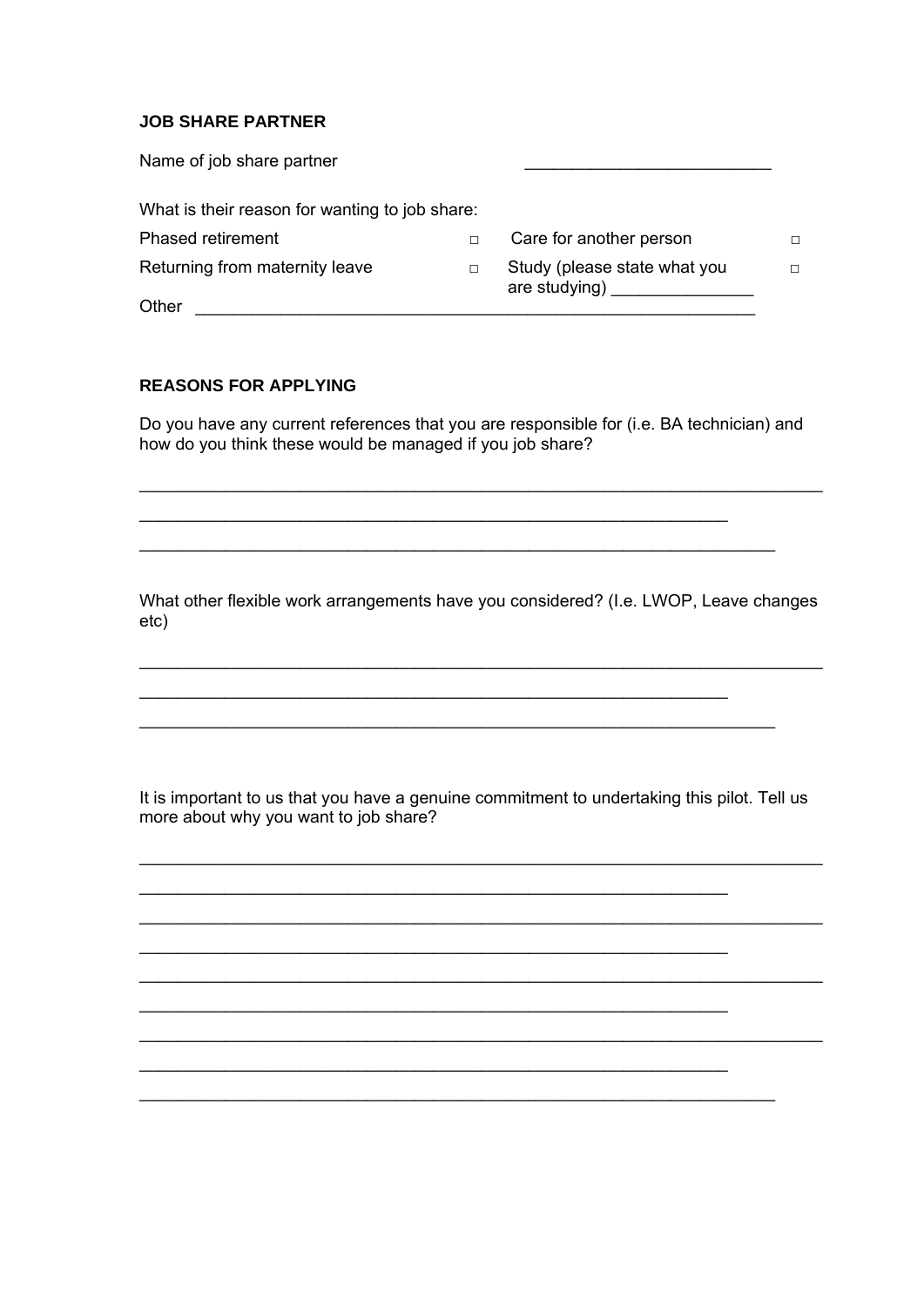#### **JOB SHARE PARTNER**

| Name of job share partner                      |        |                                               |   |
|------------------------------------------------|--------|-----------------------------------------------|---|
| What is their reason for wanting to job share: |        |                                               |   |
| <b>Phased retirement</b>                       | $\Box$ | Care for another person                       | П |
| Returning from maternity leave                 | $\Box$ | Study (please state what you<br>are studying) | п |
| Other                                          |        |                                               |   |

### **REASONS FOR APPLYING**

Do you have any current references that you are responsible for (i.e. BA technician) and how do you think these would be managed if you job share?

What other flexible work arrangements have you considered? (I.e. LWOP, Leave changes  $etc)$ 

It is important to us that you have a genuine commitment to undertaking this pilot. Tell us more about why you want to job share?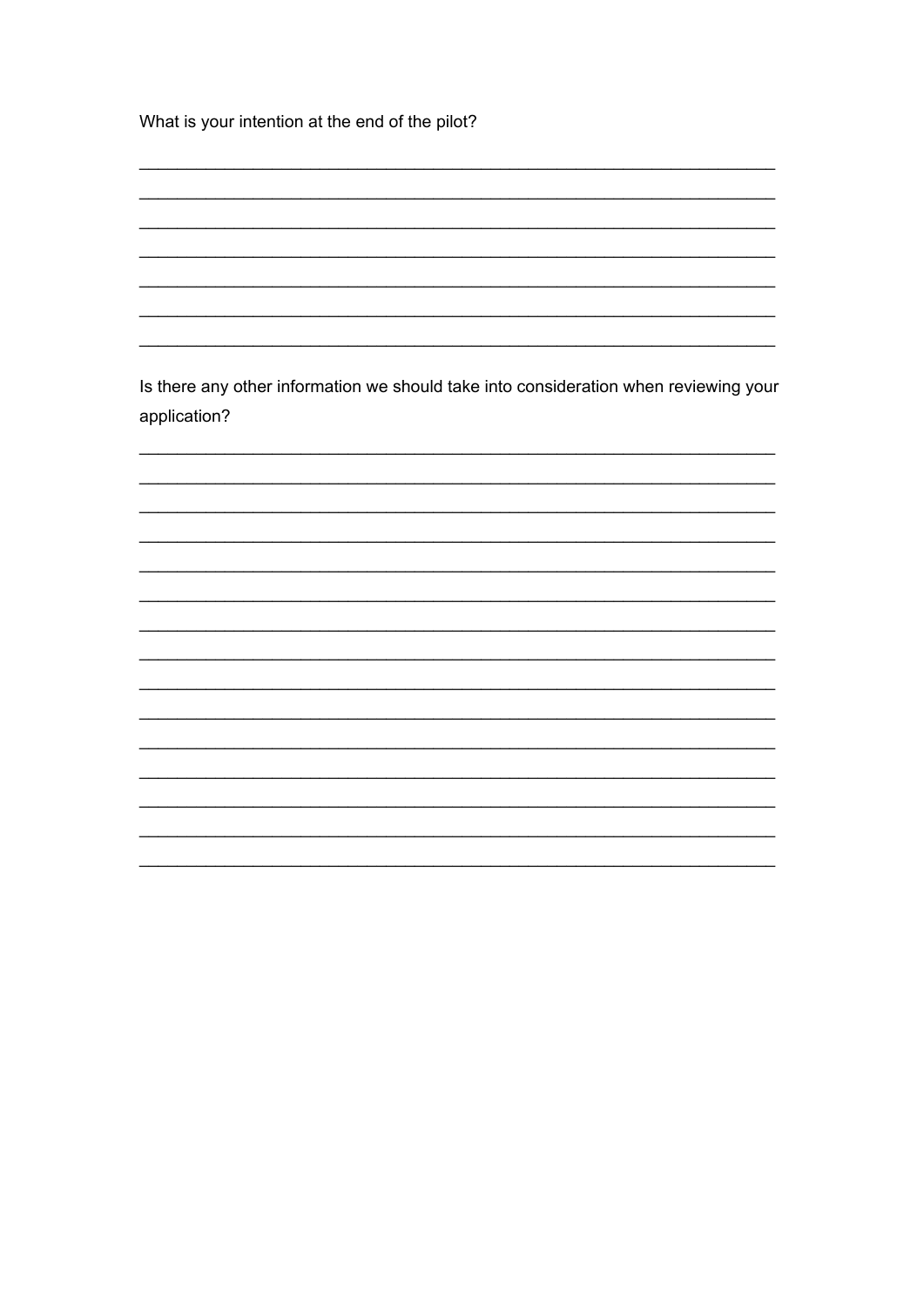What is your intention at the end of the pilot?

Is there any other information we should take into consideration when reviewing your application?